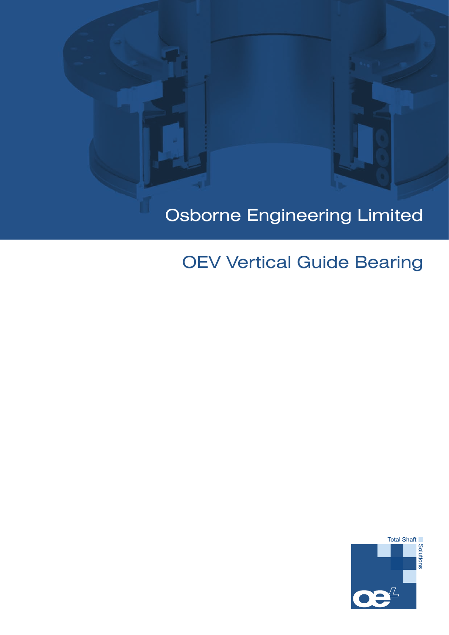## Osborne Engineering Limited

## OEV Vertical Guide Bearing

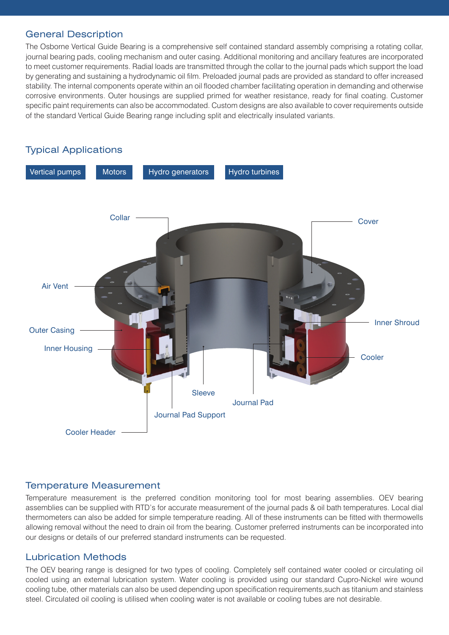## General Description

The Osborne Vertical Guide Bearing is a comprehensive self contained standard assembly comprising a rotating collar, journal bearing pads, cooling mechanism and outer casing. Additional monitoring and ancillary features are incorporated to meet customer requirements. Radial loads are transmitted through the collar to the journal pads which support the load by generating and sustaining a hydrodynamic oil film. Preloaded journal pads are provided as standard to offer increased stability. The internal components operate within an oil flooded chamber facilitating operation in demanding and otherwise corrosive environments. Outer housings are supplied primed for weather resistance, ready for final coating. Customer specific paint requirements can also be accommodated. Custom designs are also available to cover requirements outside of the standard Vertical Guide Bearing range including split and electrically insulated variants.

# Vertical pumps Motors Hydro generators Hydro turbines Collar Air Vent Outer Casing Inner Housing Cooler Header Journal Pad **Sleeve Cooler** Cover Inner Shroud Journal Pad Support Typical Applications

## Temperature Measurement

Temperature measurement is the preferred condition monitoring tool for most bearing assemblies. OEV bearing assemblies can be supplied with RTD's for accurate measurement of the journal pads & oil bath temperatures. Local dial thermometers can also be added for simple temperature reading. All of these instruments can be fitted with thermowells allowing removal without the need to drain oil from the bearing. Customer preferred instruments can be incorporated into our designs or details of our preferred standard instruments can be requested.

## Lubrication Methods

The OEV bearing range is designed for two types of cooling. Completely self contained water cooled or circulating oil cooled using an external lubrication system. Water cooling is provided using our standard Cupro-Nickel wire wound cooling tube, other materials can also be used depending upon specification requirements,such as titanium and stainless steel. Circulated oil cooling is utilised when cooling water is not available or cooling tubes are not desirable.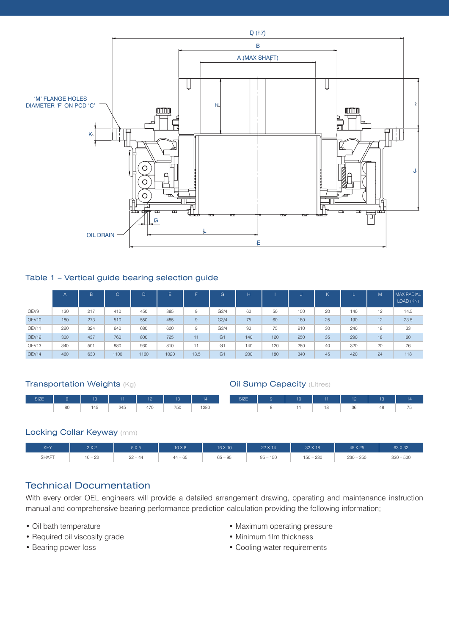

## Table 1 – Vertical guide bearing selection guide

|                   | A   | B   | C    |      | F    |      | G.               |     |     | w   |    |     | M  | MAX RADIAL<br>LOAD (KN) |
|-------------------|-----|-----|------|------|------|------|------------------|-----|-----|-----|----|-----|----|-------------------------|
| OEV9              | 130 | 217 | 410  | 450  | 385  | 9    | G <sub>3/4</sub> | 60  | 50  | 150 | 20 | 140 | 12 | 14.5                    |
| OEV <sub>10</sub> | 180 | 273 | 510  | 550  | 485  | 9    | G <sub>3/4</sub> | 75  | 60  | 180 | 25 | 190 | 12 | 23.5                    |
| OEV11             | 220 | 324 | 640  | 680  | 600  | 9    | G3/4             | 90  | 75  | 210 | 30 | 240 | 18 | 33                      |
| OEV <sub>12</sub> | 300 | 437 | 760  | 800  | 725  | 11   | G <sub>1</sub>   | 140 | 120 | 250 | 35 | 290 | 18 | 60                      |
| OEV13             | 340 | 501 | 880  | 930  | 810  | 11   | G <sub>1</sub>   | 140 | 120 | 280 | 40 | 320 | 20 | 76                      |
| OEV14             | 460 | 630 | 1100 | 1160 | 1020 | 13.5 | G1               | 200 | 180 | 340 | 45 | 420 | 24 | 118                     |

#### **Transportation Weights (Kg)**

**Oil Sump Capacity (Litres)** 



## Locking Collar Keyway (mm)



## Technical Documentation

With every order OEL engineers will provide a detailed arrangement drawing, operating and maintenance instruction manual and comprehensive bearing performance prediction calculation providing the following information;

- Oil bath temperature
- Required oil viscosity grade
- Bearing power loss
- Maximum operating pressure
- Minimum film thickness
- Cooling water requirements